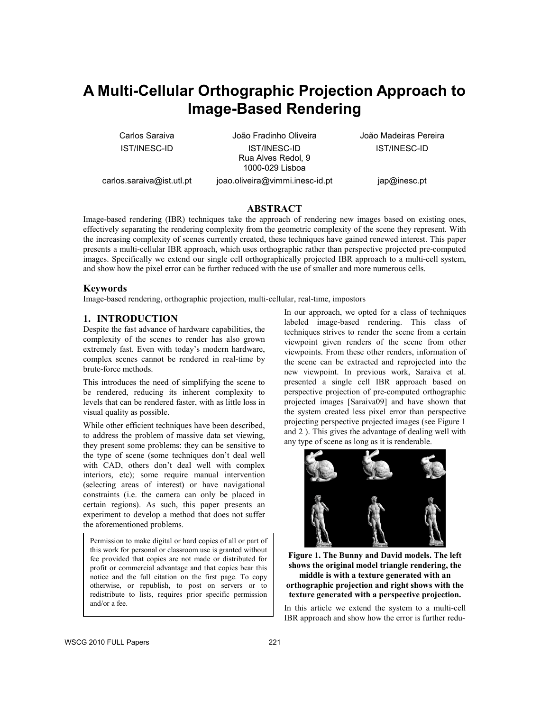# **A Multi-Cellular Orthographic Projection Approach to Image-Based Rendering**

Carlos Saraiva IST/INESC-ID João Fradinho Oliveira IST/INESC-ID Rua Alves Redol, 9 1000-029 Lisboa

João Madeiras Pereira IST/INESC-ID

carlos.saraiva@ist.utl.pt

joao.oliveira@vimmi.inesc-id.pt

jap@inesc.pt

# **ABSTRACT**

Image-based rendering (IBR) techniques take the approach of rendering new images based on existing ones, effectively separating the rendering complexity from the geometric complexity of the scene they represent. With the increasing complexity of scenes currently created, these techniques have gained renewed interest. This paper presents a multi-cellular IBR approach, which uses orthographic rather than perspective projected pre-computed images. Specifically we extend our single cell orthographically projected IBR approach to a multi-cell system, and show how the pixel error can be further reduced with the use of smaller and more numerous cells.

### **Keywords**

Image-based rendering, orthographic projection, multi-cellular, real-time, impostors

# **1. INTRODUCTION**

Despite the fast advance of hardware capabilities, the complexity of the scenes to render has also grown extremely fast. Even with today's modern hardware, complex scenes cannot be rendered in real-time by brute-force methods.

This introduces the need of simplifying the scene to be rendered, reducing its inherent complexity to levels that can be rendered faster, with as little loss in visual quality as possible.

While other efficient techniques have been described, to address the problem of massive data set viewing, they present some problems: they can be sensitive to the type of scene (some techniques don't deal well with CAD, others don't deal well with complex interiors, etc); some require manual intervention (selecting areas of interest) or have navigational constraints (i.e. the camera can only be placed in certain regions). As such, this paper presents an experiment to develop a method that does not suffer the aforementioned problems.

Permission to make digital or hard copies of all or part of this work for personal or classroom use is granted without fee provided that copies are not made or distributed for profit or commercial advantage and that copies bear this notice and the full citation on the first page. To copy otherwise, or republish, to post on servers or to redistribute to lists, requires prior specific permission and/or a fee.

In our approach, we opted for a class of techniques labeled image-based rendering. This class of techniques strives to render the scene from a certain viewpoint given renders of the scene from other viewpoints. From these other renders, information of the scene can be extracted and reprojected into the new viewpoint. In previous work, Saraiva et al. presented a single cell IBR approach based on perspective projection of pre-computed orthographic projected images [Saraiva09] and have shown that the system created less pixel error than perspective projecting perspective projected images (see Figure 1 and 2 ). This gives the advantage of dealing well with any type of scene as long as it is renderable.



**Figure 1. The Bunny and David models. The left shows the original model triangle rendering, the middle is with a texture generated with an orthographic projection and right shows with the texture generated with a perspective projection.** 

In this article we extend the system to a multi-cell IBR approach and show how the error is further redu-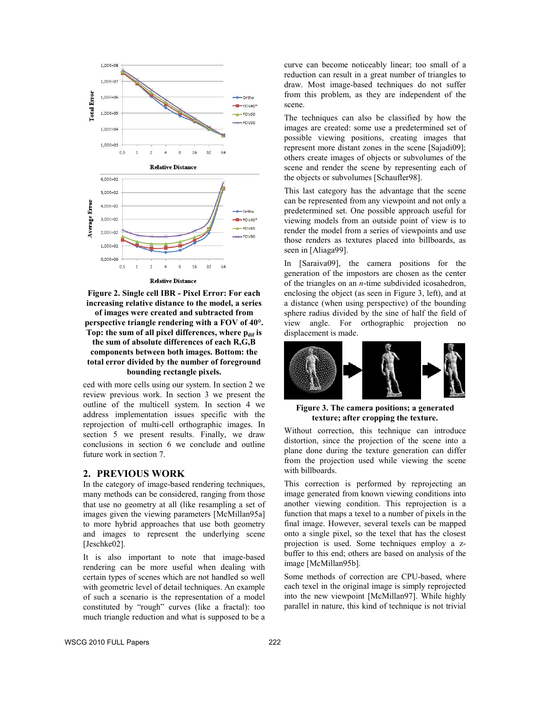

**Figure 2. Single cell IBR - Pixel Error: For each increasing relative distance to the model, a series of images were created and subtracted from perspective triangle rendering with a FOV of 40°.**  Top: the sum of all pixel differences, where p<sub>dif</sub> is **the sum of absolute differences of each R,G,B components between both images. Bottom: the total error divided by the number of foreground bounding rectangle pixels.** 

ced with more cells using our system. In section 2 we review previous work. In section 3 we present the outline of the multicell system. In section 4 we address implementation issues specific with the reprojection of multi-cell orthographic images. In section 5 we present results. Finally, we draw conclusions in section 6 we conclude and outline future work in section 7.

## **2. PREVIOUS WORK**

In the category of image-based rendering techniques, many methods can be considered, ranging from those that use no geometry at all (like resampling a set of images given the viewing parameters [McMillan95a] to more hybrid approaches that use both geometry and images to represent the underlying scene [Jeschke02].

It is also important to note that image-based rendering can be more useful when dealing with certain types of scenes which are not handled so well with geometric level of detail techniques. An example of such a scenario is the representation of a model constituted by "rough" curves (like a fractal): too much triangle reduction and what is supposed to be a curve can become noticeably linear; too small of a reduction can result in a great number of triangles to draw. Most image-based techniques do not suffer from this problem, as they are independent of the scene.

The techniques can also be classified by how the images are created: some use a predetermined set of possible viewing positions, creating images that represent more distant zones in the scene [Sajadi09]; others create images of objects or subvolumes of the scene and render the scene by representing each of the objects or subvolumes [Schaufler98].

This last category has the advantage that the scene can be represented from any viewpoint and not only a predetermined set. One possible approach useful for viewing models from an outside point of view is to render the model from a series of viewpoints and use those renders as textures placed into billboards, as seen in [Aliaga99].

In [Saraiva09], the camera positions for the generation of the impostors are chosen as the center of the triangles on an *n*-time subdivided icosahedron, enclosing the object (as seen in Figure 3, left), and at a distance (when using perspective) of the bounding sphere radius divided by the sine of half the field of view angle. For orthographic projection no displacement is made.



### **Figure 3. The camera positions; a generated texture; after cropping the texture.**

Without correction, this technique can introduce distortion, since the projection of the scene into a plane done during the texture generation can differ from the projection used while viewing the scene with billboards.

This correction is performed by reprojecting an image generated from known viewing conditions into another viewing condition. This reprojection is a function that maps a texel to a number of pixels in the final image. However, several texels can be mapped onto a single pixel, so the texel that has the closest projection is used. Some techniques employ a zbuffer to this end; others are based on analysis of the image [McMillan95b].

Some methods of correction are CPU-based, where each texel in the original image is simply reprojected into the new viewpoint [McMillan97]. While highly parallel in nature, this kind of technique is not trivial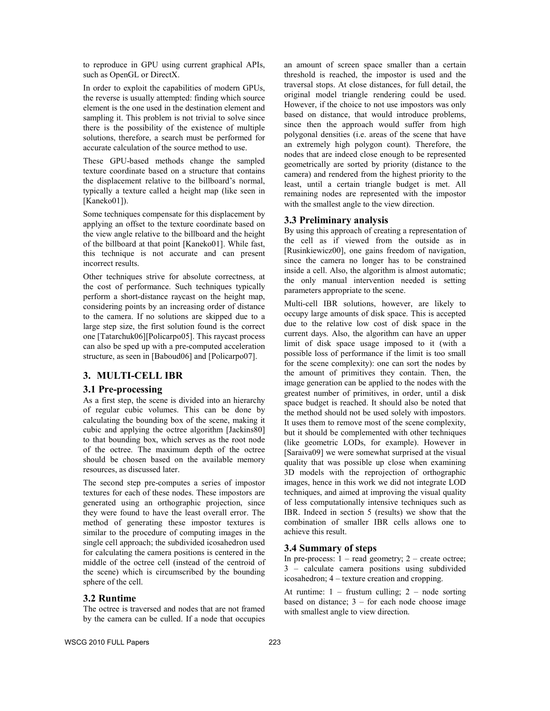to reproduce in GPU using current graphical APIs, such as OpenGL or DirectX.

In order to exploit the capabilities of modern GPUs, the reverse is usually attempted: finding which source element is the one used in the destination element and sampling it. This problem is not trivial to solve since there is the possibility of the existence of multiple solutions, therefore, a search must be performed for accurate calculation of the source method to use.

These GPU-based methods change the sampled texture coordinate based on a structure that contains the displacement relative to the billboard's normal, typically a texture called a height map (like seen in [Kaneko01]).

Some techniques compensate for this displacement by applying an offset to the texture coordinate based on the view angle relative to the billboard and the height of the billboard at that point [Kaneko01]. While fast, this technique is not accurate and can present incorrect results.

Other techniques strive for absolute correctness, at the cost of performance. Such techniques typically perform a short-distance raycast on the height map, considering points by an increasing order of distance to the camera. If no solutions are skipped due to a large step size, the first solution found is the correct one [Tatarchuk06][Policarpo05]. This raycast process can also be sped up with a pre-computed acceleration structure, as seen in [Baboud06] and [Policarpo07].

### **3. MULTI-CELL IBR**

# **3.1 Pre-processing**

As a first step, the scene is divided into an hierarchy of regular cubic volumes. This can be done by calculating the bounding box of the scene, making it cubic and applying the octree algorithm [Jackins80] to that bounding box, which serves as the root node of the octree. The maximum depth of the octree should be chosen based on the available memory resources, as discussed later.

The second step pre-computes a series of impostor textures for each of these nodes. These impostors are generated using an orthographic projection, since they were found to have the least overall error. The method of generating these impostor textures is similar to the procedure of computing images in the single cell approach; the subdivided icosahedron used for calculating the camera positions is centered in the middle of the octree cell (instead of the centroid of the scene) which is circumscribed by the bounding sphere of the cell.

#### **3.2 Runtime**

The octree is traversed and nodes that are not framed by the camera can be culled. If a node that occupies an amount of screen space smaller than a certain threshold is reached, the impostor is used and the traversal stops. At close distances, for full detail, the original model triangle rendering could be used. However, if the choice to not use impostors was only based on distance, that would introduce problems, since then the approach would suffer from high polygonal densities (i.e. areas of the scene that have an extremely high polygon count). Therefore, the nodes that are indeed close enough to be represented geometrically are sorted by priority (distance to the camera) and rendered from the highest priority to the least, until a certain triangle budget is met. All remaining nodes are represented with the impostor with the smallest angle to the view direction.

### **3.3 Preliminary analysis**

By using this approach of creating a representation of the cell as if viewed from the outside as in [Rusinkiewicz00], one gains freedom of navigation, since the camera no longer has to be constrained inside a cell. Also, the algorithm is almost automatic; the only manual intervention needed is setting parameters appropriate to the scene.

Multi-cell IBR solutions, however, are likely to occupy large amounts of disk space. This is accepted due to the relative low cost of disk space in the current days. Also, the algorithm can have an upper limit of disk space usage imposed to it (with a possible loss of performance if the limit is too small for the scene complexity): one can sort the nodes by the amount of primitives they contain. Then, the image generation can be applied to the nodes with the greatest number of primitives, in order, until a disk space budget is reached. It should also be noted that the method should not be used solely with impostors. It uses them to remove most of the scene complexity, but it should be complemented with other techniques (like geometric LODs, for example). However in [Saraiva09] we were somewhat surprised at the visual quality that was possible up close when examining 3D models with the reprojection of orthographic images, hence in this work we did not integrate LOD techniques, and aimed at improving the visual quality of less computationally intensive techniques such as IBR. Indeed in section 5 (results) we show that the combination of smaller IBR cells allows one to achieve this result.

# **3.4 Summary of steps**

In pre-process:  $1 - read geometry$ ;  $2 - create octree$ ; 3 – calculate camera positions using subdivided icosahedron; 4 – texture creation and cropping.

At runtime:  $1 -$  frustum culling;  $2 -$  node sorting based on distance;  $3 -$  for each node choose image with smallest angle to view direction.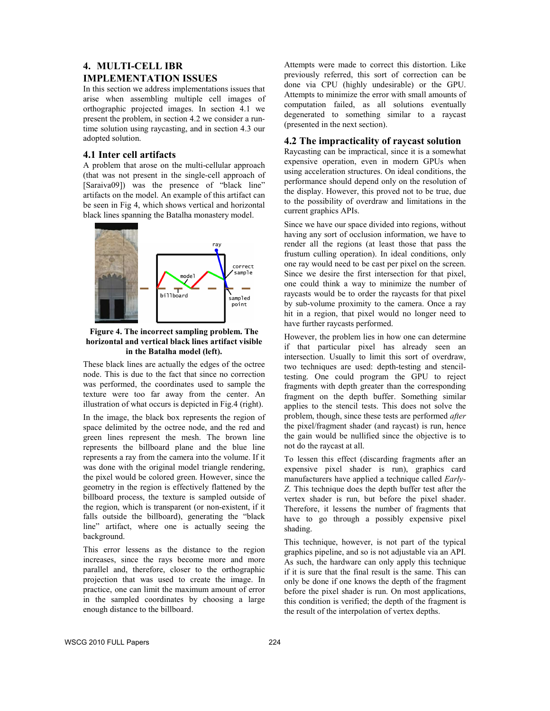# **4. MULTI-CELL IBR IMPLEMENTATION ISSUES**

In this section we address implementations issues that arise when assembling multiple cell images of orthographic projected images. In section 4.1 we present the problem, in section 4.2 we consider a runtime solution using raycasting, and in section 4.3 our adopted solution.

# **4.1 Inter cell artifacts**

A problem that arose on the multi-cellular approach (that was not present in the single-cell approach of [Saraiva09]) was the presence of "black line" artifacts on the model. An example of this artifact can be seen in Fig 4, which shows vertical and horizontal black lines spanning the Batalha monastery model.



### **Figure 4. The incorrect sampling problem. The horizontal and vertical black lines artifact visible in the Batalha model (left).**

These black lines are actually the edges of the octree node. This is due to the fact that since no correction was performed, the coordinates used to sample the texture were too far away from the center. An illustration of what occurs is depicted in Fig.4 (right).

In the image, the black box represents the region of space delimited by the octree node, and the red and green lines represent the mesh. The brown line represents the billboard plane and the blue line represents a ray from the camera into the volume. If it was done with the original model triangle rendering, the pixel would be colored green. However, since the geometry in the region is effectively flattened by the billboard process, the texture is sampled outside of the region, which is transparent (or non-existent, if it falls outside the billboard), generating the "black line" artifact, where one is actually seeing the background.

This error lessens as the distance to the region increases, since the rays become more and more parallel and, therefore, closer to the orthographic projection that was used to create the image. In practice, one can limit the maximum amount of error in the sampled coordinates by choosing a large enough distance to the billboard.

Attempts were made to correct this distortion. Like previously referred, this sort of correction can be done via CPU (highly undesirable) or the GPU. Attempts to minimize the error with small amounts of computation failed, as all solutions eventually degenerated to something similar to a raycast (presented in the next section).

# **4.2 The impracticality of raycast solution**

Raycasting can be impractical, since it is a somewhat expensive operation, even in modern GPUs when using acceleration structures. On ideal conditions, the performance should depend only on the resolution of the display. However, this proved not to be true, due to the possibility of overdraw and limitations in the current graphics APIs.

Since we have our space divided into regions, without having any sort of occlusion information, we have to render all the regions (at least those that pass the frustum culling operation). In ideal conditions, only one ray would need to be cast per pixel on the screen. Since we desire the first intersection for that pixel, one could think a way to minimize the number of raycasts would be to order the raycasts for that pixel by sub-volume proximity to the camera. Once a ray hit in a region, that pixel would no longer need to have further raycasts performed.

However, the problem lies in how one can determine if that particular pixel has already seen an intersection. Usually to limit this sort of overdraw, two techniques are used: depth-testing and stenciltesting. One could program the GPU to reject fragments with depth greater than the corresponding fragment on the depth buffer. Something similar applies to the stencil tests. This does not solve the problem, though, since these tests are performed *after* the pixel/fragment shader (and raycast) is run, hence the gain would be nullified since the objective is to not do the raycast at all.

To lessen this effect (discarding fragments after an expensive pixel shader is run), graphics card manufacturers have applied a technique called *Early-Z*. This technique does the depth buffer test after the vertex shader is run, but before the pixel shader. Therefore, it lessens the number of fragments that have to go through a possibly expensive pixel shading.

This technique, however, is not part of the typical graphics pipeline, and so is not adjustable via an API. As such, the hardware can only apply this technique if it is sure that the final result is the same. This can only be done if one knows the depth of the fragment before the pixel shader is run. On most applications, this condition is verified; the depth of the fragment is the result of the interpolation of vertex depths.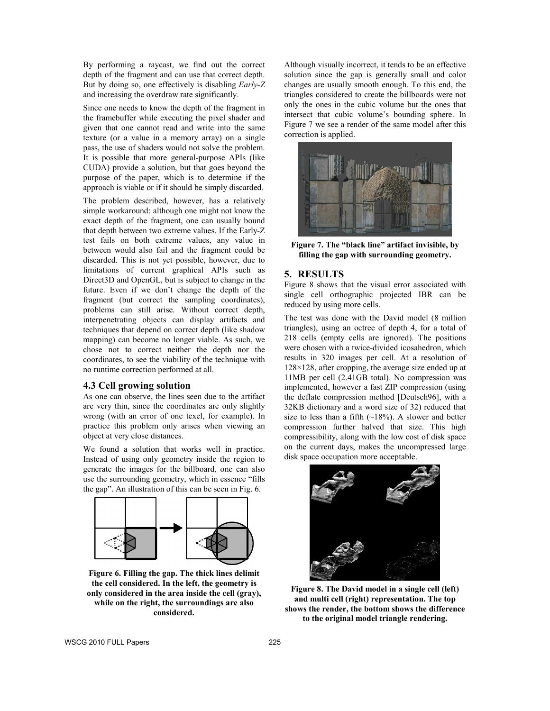By performing a raycast, we find out the correct depth of the fragment and can use that correct depth. But by doing so, one effectively is disabling *Early-Z* and increasing the overdraw rate significantly.

Since one needs to know the depth of the fragment in the framebuffer while executing the pixel shader and given that one cannot read and write into the same texture (or a value in a memory array) on a single pass, the use of shaders would not solve the problem. It is possible that more general-purpose APIs (like CUDA) provide a solution, but that goes beyond the purpose of the paper, which is to determine if the approach is viable or if it should be simply discarded.

The problem described, however, has a relatively simple workaround: although one might not know the exact depth of the fragment, one can usually bound that depth between two extreme values. If the Early-Z test fails on both extreme values, any value in between would also fail and the fragment could be discarded. This is not yet possible, however, due to limitations of current graphical APIs such as Direct3D and OpenGL, but is subject to change in the future. Even if we don't change the depth of the fragment (but correct the sampling coordinates), problems can still arise. Without correct depth, interpenetrating objects can display artifacts and techniques that depend on correct depth (like shadow mapping) can become no longer viable. As such, we chose not to correct neither the depth nor the coordinates, to see the viability of the technique with no runtime correction performed at all.

# **4.3 Cell growing solution**

As one can observe, the lines seen due to the artifact are very thin, since the coordinates are only slightly wrong (with an error of one texel, for example). In practice this problem only arises when viewing an object at very close distances.

We found a solution that works well in practice. Instead of using only geometry inside the region to generate the images for the billboard, one can also use the surrounding geometry, which in essence "fills the gap". An illustration of this can be seen in Fig. 6.



**Figure 6. Filling the gap. The thick lines delimit the cell considered. In the left, the geometry is only considered in the area inside the cell (gray), while on the right, the surroundings are also considered.** 

Although visually incorrect, it tends to be an effective solution since the gap is generally small and color changes are usually smooth enough. To this end, the triangles considered to create the billboards were not only the ones in the cubic volume but the ones that intersect that cubic volume's bounding sphere. In Figure 7 we see a render of the same model after this correction is applied.



**Figure 7. The "black line" artifact invisible, by filling the gap with surrounding geometry.** 

# **5. RESULTS**

Figure 8 shows that the visual error associated with single cell orthographic projected IBR can be reduced by using more cells.

The test was done with the David model (8 million triangles), using an octree of depth 4, for a total of 218 cells (empty cells are ignored). The positions were chosen with a twice-divided icosahedron, which results in 320 images per cell. At a resolution of  $128\times128$ , after cropping, the average size ended up at 11MB per cell (2.41GB total). No compression was implemented, however a fast ZIP compression (using the deflate compression method [Deutsch96], with a 32KB dictionary and a word size of 32) reduced that size to less than a fifth  $(\sim 18\%)$ . A slower and better compression further halved that size. This high compressibility, along with the low cost of disk space on the current days, makes the uncompressed large disk space occupation more acceptable.



**Figure 8. The David model in a single cell (left) and multi cell (right) representation. The top shows the render, the bottom shows the difference to the original model triangle rendering.** 

WSCG 2010 FULL Papers 225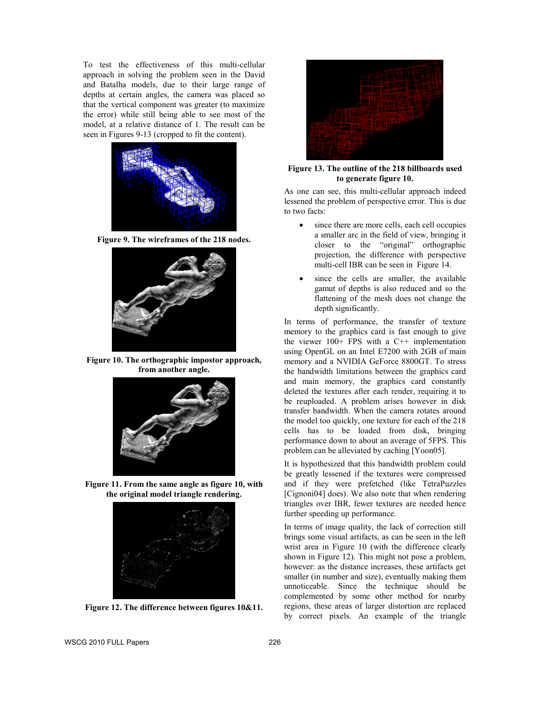To test the effectiveness of this multi-cellular approach in solving the problem seen in the David and Batalha models, due to their large range of depths at certain angles, the camera was placed so that the vertical component was greater (to maximize the error) while still being able to see most of the model, at a relative distance of 1. The result can be seen in Figures 9-13 (cropped to fit the content).



**Figure 9. The wireframes of the 218 nodes.** 



**Figure 10. The orthographic impostor approach, from another angle.** 



**Figure 11. From the same angle as figure 10, with the original model triangle rendering.** 



**Figure 12. The difference between figures 10&11.** 



**Figure 13. The outline of the 218 billboards used to generate figure 10.** 

As one can see, this multi-cellular approach indeed lessened the problem of perspective error. This is due to two facts:

- since there are more cells, each cell occupies a smaller arc in the field of view, bringing it closer to the "original" orthographic projection, the difference with perspective multi-cell IBR can be seen in Figure 14.
- since the cells are smaller, the available gamut of depths is also reduced and so the flattening of the mesh does not change the depth significantly.

In terms of performance, the transfer of texture memory to the graphics card is fast enough to give the viewer  $100+$  FPS with a C++ implementation using OpenGL on an Intel E7200 with 2GB of main memory and a NVIDIA GeForce 8800GT. To stress the bandwidth limitations between the graphics card and main memory, the graphics card constantly deleted the textures after each render, requiring it to be reuploaded. A problem arises however in disk transfer bandwidth. When the camera rotates around the model too quickly, one texture for each of the 218 cells has to be loaded from disk, bringing performance down to about an average of 5FPS. This problem can be alleviated by caching [Yoon05].

It is hypothesized that this bandwidth problem could be greatly lessened if the textures were compressed and if they were prefetched (like TetraPuzzles [Cignoni04] does). We also note that when rendering triangles over IBR, fewer textures are needed hence further speeding up performance.

In terms of image quality, the lack of correction still brings some visual artifacts, as can be seen in the left wrist area in Figure 10 (with the difference clearly shown in Figure 12). This might not pose a problem, however: as the distance increases, these artifacts get smaller (in number and size), eventually making them unnoticeable. Since the technique should be complemented by some other method for nearby regions, these areas of larger distortion are replaced by correct pixels. An example of the triangle

WSCG 2010 FULL Papers 226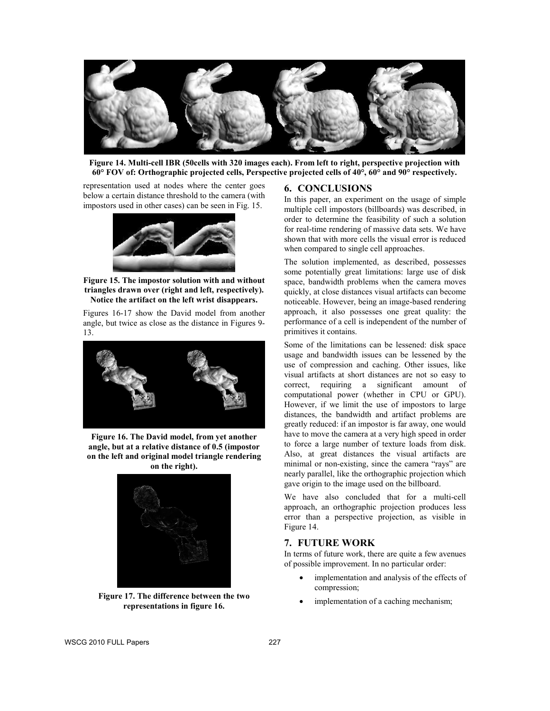

**Figure 14. Multi-cell IBR (50cells with 320 images each). From left to right, perspective projection with 60° FOV of: Orthographic projected cells, Perspective projected cells of 40°, 60° and 90° respectively.**

representation used at nodes where the center goes below a certain distance threshold to the camera (with impostors used in other cases) can be seen in Fig. 15.



**Figure 15. The impostor solution with and without triangles drawn over (right and left, respectively). Notice the artifact on the left wrist disappears.** 

Figures 16-17 show the David model from another angle, but twice as close as the distance in Figures 9- 13.



**Figure 16. The David model, from yet another angle, but at a relative distance of 0.5 (impostor on the left and original model triangle rendering on the right).** 



**Figure 17. The difference between the two representations in figure 16.** 

### **6. CONCLUSIONS**

In this paper, an experiment on the usage of simple multiple cell impostors (billboards) was described, in order to determine the feasibility of such a solution for real-time rendering of massive data sets. We have shown that with more cells the visual error is reduced when compared to single cell approaches.

The solution implemented, as described, possesses some potentially great limitations: large use of disk space, bandwidth problems when the camera moves quickly, at close distances visual artifacts can become noticeable. However, being an image-based rendering approach, it also possesses one great quality: the performance of a cell is independent of the number of primitives it contains.

Some of the limitations can be lessened: disk space usage and bandwidth issues can be lessened by the use of compression and caching. Other issues, like visual artifacts at short distances are not so easy to correct, requiring a significant amount of computational power (whether in CPU or GPU). However, if we limit the use of impostors to large distances, the bandwidth and artifact problems are greatly reduced: if an impostor is far away, one would have to move the camera at a very high speed in order to force a large number of texture loads from disk. Also, at great distances the visual artifacts are minimal or non-existing, since the camera "rays" are nearly parallel, like the orthographic projection which gave origin to the image used on the billboard.

We have also concluded that for a multi-cell approach, an orthographic projection produces less error than a perspective projection, as visible in Figure 14.

# **7. FUTURE WORK**

In terms of future work, there are quite a few avenues of possible improvement. In no particular order:

- implementation and analysis of the effects of compression;
- implementation of a caching mechanism;

WSCG 2010 FULL Papers 227